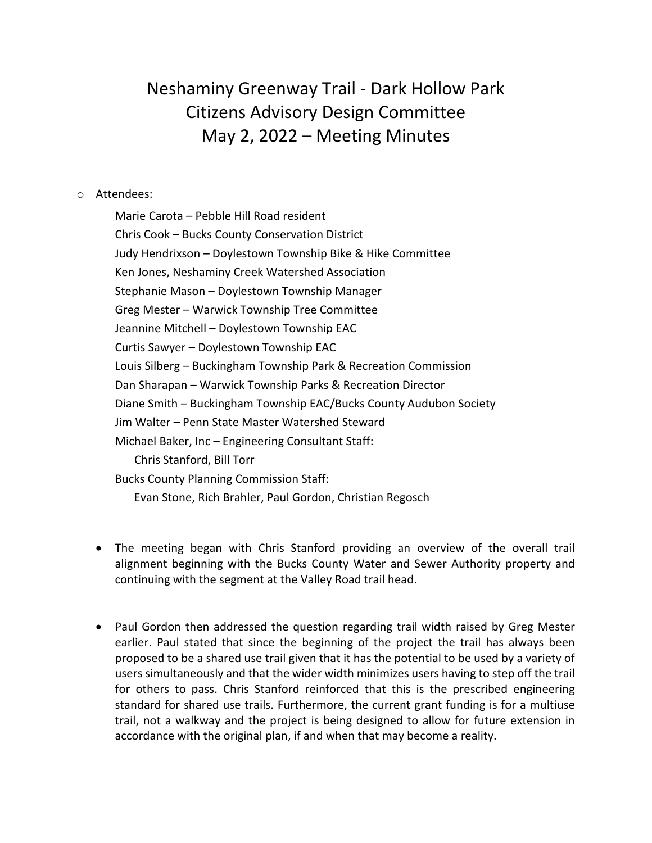## Neshaminy Greenway Trail - Dark Hollow Park Citizens Advisory Design Committee May 2, 2022 – Meeting Minutes

## o Attendees:

Marie Carota – Pebble Hill Road resident Chris Cook – Bucks County Conservation District Judy Hendrixson – Doylestown Township Bike & Hike Committee Ken Jones, Neshaminy Creek Watershed Association Stephanie Mason – Doylestown Township Manager Greg Mester – Warwick Township Tree Committee Jeannine Mitchell – Doylestown Township EAC Curtis Sawyer – Doylestown Township EAC Louis Silberg – Buckingham Township Park & Recreation Commission Dan Sharapan – Warwick Township Parks & Recreation Director Diane Smith – Buckingham Township EAC/Bucks County Audubon Society Jim Walter – Penn State Master Watershed Steward Michael Baker, Inc – Engineering Consultant Staff: Chris Stanford, Bill Torr Bucks County Planning Commission Staff: Evan Stone, Rich Brahler, Paul Gordon, Christian Regosch

- The meeting began with Chris Stanford providing an overview of the overall trail alignment beginning with the Bucks County Water and Sewer Authority property and continuing with the segment at the Valley Road trail head.
- Paul Gordon then addressed the question regarding trail width raised by Greg Mester earlier. Paul stated that since the beginning of the project the trail has always been proposed to be a shared use trail given that it has the potential to be used by a variety of users simultaneously and that the wider width minimizes users having to step off the trail for others to pass. Chris Stanford reinforced that this is the prescribed engineering standard for shared use trails. Furthermore, the current grant funding is for a multiuse trail, not a walkway and the project is being designed to allow for future extension in accordance with the original plan, if and when that may become a reality.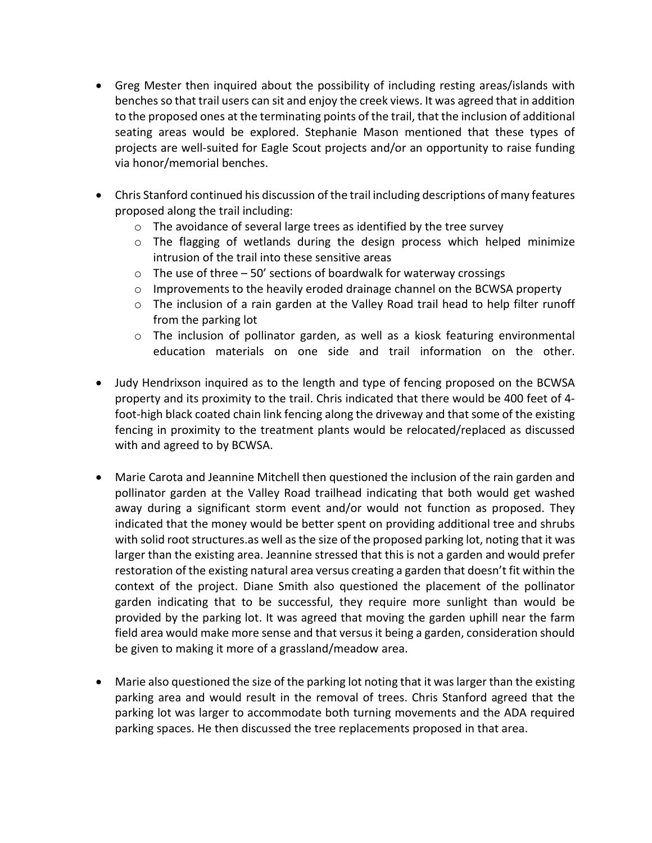- Greg Mester then inquired about the possibility of including resting areas/islands with benches so that trail users can sit and enjoy the creek views. It was agreed that in addition to the proposed ones at the terminating points of the trail, that the inclusion of additional seating areas would be explored. Stephanie Mason mentioned that these types of projects are well-suited for Eagle Scout projects and/or an opportunity to raise funding via honor/memorial benches.
- Chris Stanford continued his discussion of the trail including descriptions of many features proposed along the trail including:
	- o The avoidance of several large trees as identified by the tree survey
	- o The flagging of wetlands during the design process which helped minimize intrusion of the trail into these sensitive areas
	- $\circ$  The use of three 50' sections of boardwalk for waterway crossings
	- $\circ$  Improvements to the heavily eroded drainage channel on the BCWSA property
	- o The inclusion of a rain garden at the Valley Road trail head to help filter runoff from the parking lot
	- o The inclusion of pollinator garden, as well as a kiosk featuring environmental education materials on one side and trail information on the other.
- Judy Hendrixson inquired as to the length and type of fencing proposed on the BCWSA property and its proximity to the trail. Chris indicated that there would be 400 feet of 4 foot-high black coated chain link fencing along the driveway and that some of the existing fencing in proximity to the treatment plants would be relocated/replaced as discussed with and agreed to by BCWSA.
- Marie Carota and Jeannine Mitchell then questioned the inclusion of the rain garden and pollinator garden at the Valley Road trailhead indicating that both would get washed away during a significant storm event and/or would not function as proposed. They indicated that the money would be better spent on providing additional tree and shrubs with solid root structures.as well as the size of the proposed parking lot, noting that it was larger than the existing area. Jeannine stressed that this is not a garden and would prefer restoration of the existing natural area versus creating a garden that doesn't fit within the context of the project. Diane Smith also questioned the placement of the pollinator garden indicating that to be successful, they require more sunlight than would be provided by the parking lot. It was agreed that moving the garden uphill near the farm field area would make more sense and that versus it being a garden, consideration should be given to making it more of a grassland/meadow area.
- Marie also questioned the size of the parking lot noting that it was larger than the existing parking area and would result in the removal of trees. Chris Stanford agreed that the parking lot was larger to accommodate both turning movements and the ADA required parking spaces. He then discussed the tree replacements proposed in that area.